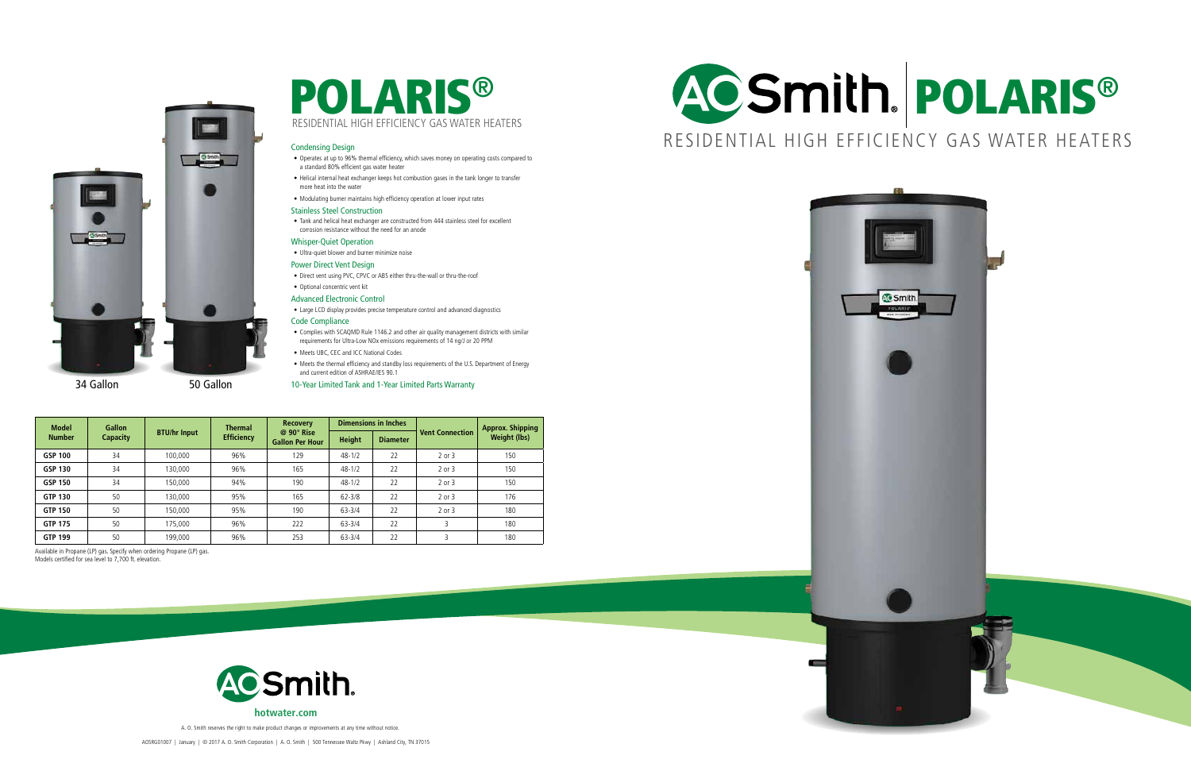



RESIDENTIAL HIGH EFFICIENCY GAS WATER HEATERS

AOSRG01007 | January | © 2017 A. O. Smith Corporation | A. O. Smith | 500 Tennessee Waltz Pkwy | Ashland City, TN 37015



A. O. Smith reserves the right to make product changes or improvements at any time without notice.

| <b>Model</b><br><b>Number</b> | <b>Gallon</b><br><b>Capacity</b> | <b>BTU/hr Input</b> | <b>Thermal</b><br><b>Efficiency</b> | <b>Recovery</b><br>$@90°$ Rise<br><b>Gallon Per Hour</b> | <b>Dimensions in Inches</b> |                 |                        | <b>Approx. Shipping</b> |
|-------------------------------|----------------------------------|---------------------|-------------------------------------|----------------------------------------------------------|-----------------------------|-----------------|------------------------|-------------------------|
|                               |                                  |                     |                                     |                                                          | <b>Height</b>               | <b>Diameter</b> | <b>Vent Connection</b> | <b>Weight (lbs)</b>     |
| <b>GSP 100</b>                | 34                               | 100,000             | 96%                                 | 129                                                      | $48 - 1/2$                  | 22              | 2 or 3                 | 150                     |
| <b>GSP 130</b>                | 34                               | 130,000             | 96%                                 | 165                                                      | $48 - 1/2$                  | 22              | 2 or 3                 | 150                     |
| <b>GSP 150</b>                | 34                               | 150,000             | 94%                                 | 190                                                      | $48 - 1/2$                  | 22              | 2 or 3                 | 150                     |
| <b>GTP 130</b>                | 50                               | 130,000             | 95%                                 | 165                                                      | $62 - 3/8$                  | 22              | 2 or 3                 | 176                     |
| <b>GTP 150</b>                | 50                               | 150,000             | 95%                                 | 190                                                      | $63 - 3/4$                  | 22              | 2 or 3                 | 180                     |
| <b>GTP 175</b>                | 50                               | 175,000             | 96%                                 | 222                                                      | $63 - 3/4$                  | 22              | 3                      | 180                     |
| <b>GTP 199</b>                | 50                               | 199,000             | 96%                                 | 253                                                      | $63 - 3/4$                  | 22              |                        | 180                     |



#### Condensing Design

- Operates at up to 96% thermal efficiency, which saves money on operating costs compared to a standard 80% efficient gas water heater
- Helical internal heat exchanger keeps hot combustion gases in the tank longer to transfer more heat into the water
- Modulating burner maintains high efficiency operation at lower input rates

#### Stainless Steel Construction

• Tank and helical heat exchanger are constructed from 444 stainless steel for excellent corrosion resistance without the need for an anode

#### Whisper-Quiet Operation

• Ultra-quiet blower and burner minimize noise

#### Power Direct Vent Design

- Direct vent using PVC, CPVC or ABS either thru-the-wall or thru-the-roof
- Optional concentric vent kit

### Advanced Electronic Control

• Large LCD display provides precise temperature control and advanced diagnostics

#### Code Compliance

- Complies with SCAQMD Rule 1146.2 and other air quality management districts with similar requirements for Ultra-Low NOx emissions requirements of 14 ng/J or 20 PPM
- Meets UBC, CEC and ICC National Codes
- Meets the thermal efficiency and standby loss requirements of the U.S. Department of Energy and current edition of ASHRAE/IES 90.1

10-Year Limited Tank and 1-Year Limited Parts Warranty

Available in Propane (LP) gas. Specify when ordering Propane (LP) gas. Models certified for sea level to 7,700 ft. elevation.